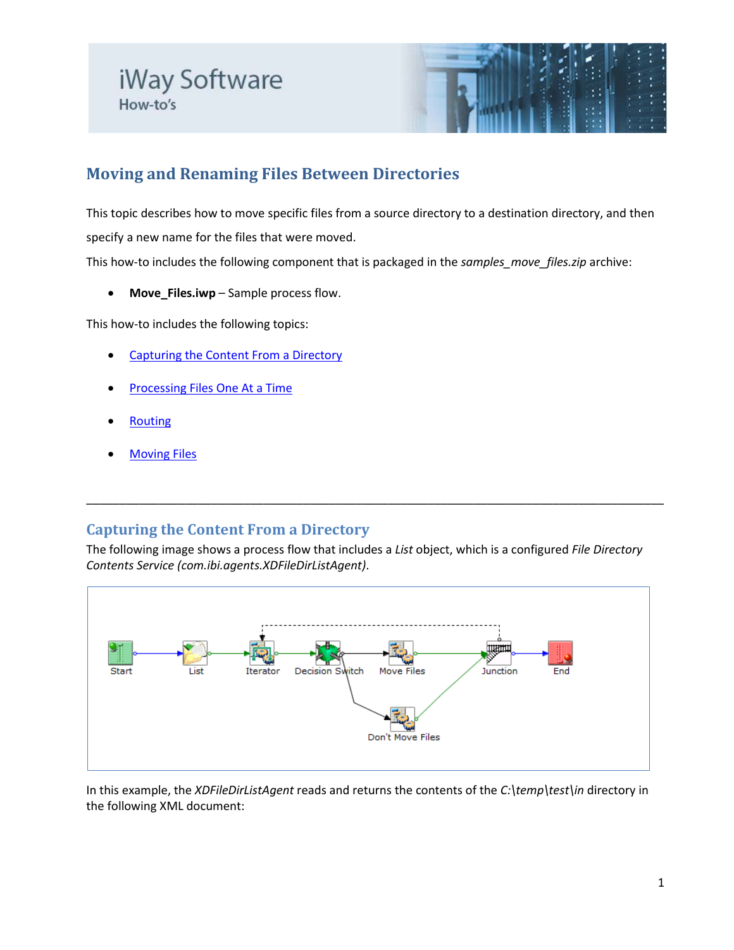

# **Moving and Renaming Files Between Directories**

This topic describes how to move specific files from a source directory to a destination directory, and then specify a new name for the files that were moved.

This how-to includes the following component that is packaged in the *samples\_move\_files.zip* archive:

• **Move\_Files.iwp** – Sample process flow.

This how-to includes the following topics:

- [Capturing the Content From a Directory](#page-0-0)
- **[Processing Files One At a Time](#page-1-0)**
- **[Routing](#page-1-1)**
- **[Moving Files](#page-1-2)**

# <span id="page-0-0"></span>**Capturing the Content From a Directory**

The following image shows a process flow that includes a *List* object, which is a configured *File Directory Contents Service (com.ibi.agents.XDFileDirListAgent)*.

\_\_\_\_\_\_\_\_\_\_\_\_\_\_\_\_\_\_\_\_\_\_\_\_\_\_\_\_\_\_\_\_\_\_\_\_\_\_\_\_\_\_\_\_\_\_\_\_\_\_\_\_\_\_\_\_\_\_\_\_\_\_\_\_\_\_\_\_\_\_\_\_\_\_\_\_\_\_\_\_\_\_\_\_\_\_\_\_



In this example, the *XDFileDirListAgent* reads and returns the contents of the *C:\temp\test\in* directory in the following XML document: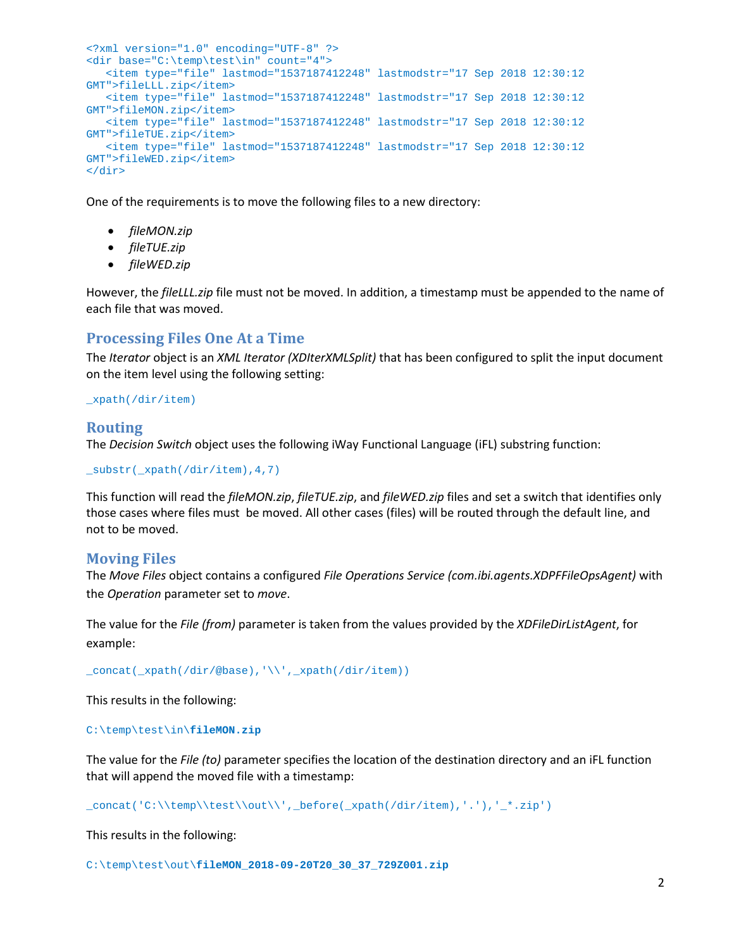```
<?xml version="1.0" encoding="UTF-8" ?>
<dir base="C:\temp\test\in" count="4">
   <item type="file" lastmod="1537187412248" lastmodstr="17 Sep 2018 12:30:12
GMT">fileLLL.zip</item>
   <item type="file" lastmod="1537187412248" lastmodstr="17 Sep 2018 12:30:12 
GMT">fileMON.zip</item>
   <item type="file" lastmod="1537187412248" lastmodstr="17 Sep 2018 12:30:12 
GMT">fileTUE.zip</item>
   <item type="file" lastmod="1537187412248" lastmodstr="17 Sep 2018 12:30:12 
GMT">fileWED.zip</item>
</dir>
```
One of the requirements is to move the following files to a new directory:

- *fileMON.zip*
- *fileTUE.zip*
- *fileWED.zip*

However, the *fileLLL.zip* file must not be moved. In addition, a timestamp must be appended to the name of each file that was moved.

# <span id="page-1-0"></span>**Processing Files One At a Time**

The *Iterator* object is an *XML Iterator (XDIterXMLSplit)* that has been configured to split the input document on the item level using the following setting:

#### \_xpath(/dir/item)

## <span id="page-1-1"></span>**Routing**

The *Decision Switch* object uses the following iWay Functional Language (iFL) substring function:

\_substr(\_xpath(/dir/item),4,7)

This function will read the *fileMON.zip*, *fileTUE.zip*, and *fileWED.zip* files and set a switch that identifies only those cases where files must be moved. All other cases (files) will be routed through the default line, and not to be moved.

## <span id="page-1-2"></span>**Moving Files**

The *Move Files* object contains a configured *File Operations Service (com.ibi.agents.XDPFFileOpsAgent)* with the *Operation* parameter set to *move*.

The value for the *File (from)* parameter is taken from the values provided by the *XDFileDirListAgent*, for example:

\_concat(\_xpath(/dir/@base),'\\',\_xpath(/dir/item))

This results in the following:

#### C:\temp\test\in\**fileMON.zip**

The value for the *File (to)* parameter specifies the location of the destination directory and an iFL function that will append the moved file with a timestamp:

 $\label{cor:convex} $$\_concat('C:\\temp\\test\\out\\', _before(\_xpath//dir/item), '. '), '\_*.zip')$ 

This results in the following:

C:\temp\test\out\**fileMON\_2018-09-20T20\_30\_37\_729Z001.zip**